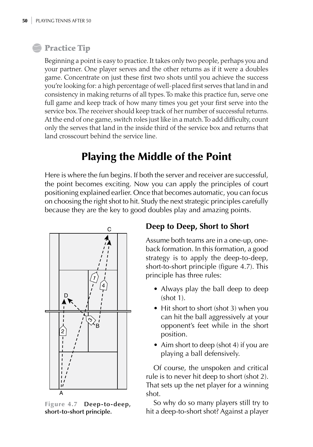## Practice Tip

Beginning a point is easy to practice. It takes only two people, perhaps you and your partner. One player serves and the other returns as if it were a doubles game. Concentrate on just these first two shots until you achieve the success you're looking for: a high percentage of well-placed first serves that land in and consistency in making returns of all types. To make this practice fun, serve one full game and keep track of how many times you get your first serve into the service box. The receiver should keep track of her number of successful returns. At the end of one game, switch roles just like in a match. To add difficulty, count only the serves that land in the inside third of the service box and returns that land crosscourt behind the service line.

# Playing the Middle of the Point

Here is where the fun begins. If both the server and receiver are successful, the point becomes exciting. Now you can apply the principles of court positioning explained earlier. Once that becomes automatic, you can focus on choosing the right shot to hit. Study the next strategic principles carefully because they are the key to good doubles play and amazing points.



Figure 4.7 **Deep-to-deep, short-to-short principle.**

#### **Deep to Deep, Short to Short**

Assume both teams are in a one-up, oneback formation. In this formation, a good strategy is to apply the deep-to-deep, short-to-short principle (figure 4.7). This principle has three rules:

- Always play the ball deep to deep (shot 1).
- Hit short to short (shot 3) when you can hit the ball aggressively at your opponent's feet while in the short position.
- Aim short to deep (shot 4) if you are playing a ball defensively.

Of course, the unspoken and critical rule is to never hit deep to short (shot 2). That sets up the net player for a winning shot.

So why do so many players still try to hit a deep-to-short shot? Against a player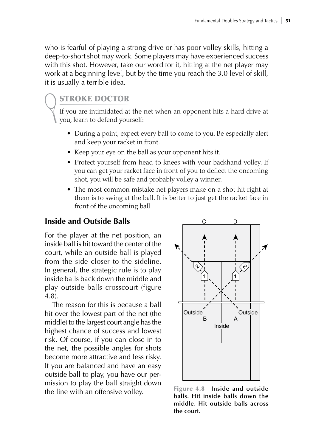who is fearful of playing a strong drive or has poor volley skills, hitting a deep-to-short shot may work. Some players may have experienced success with this shot. However, take our word for it, hitting at the net player may work at a beginning level, but by the time you reach the 3.0 level of skill, it is usually a terrible idea.

# **STROKE DOCTOR**

If you are intimidated at the net when an opponent hits a hard drive at you, learn to defend yourself:

- During a point, expect every ball to come to you. Be especially alert and keep your racket in front.
- Keep your eye on the ball as your opponent hits it.
- Protect yourself from head to knees with your backhand volley. If you can get your racket face in front of you to deflect the oncoming shot, you will be safe and probably volley a winner.
- The most common mistake net players make on a shot hit right at them is to swing at the ball. It is better to just get the racket face in front of the oncoming ball.

## **Inside and Outside Balls**

For the player at the net position, an inside ball is hit toward the center of the court, while an outside ball is played from the side closer to the sideline. In general, the strategic rule is to play inside balls back down the middle and play outside balls crosscourt (figure 4.8).

The reason for this is because a ball hit over the lowest part of the net (the middle) to the largest court angle has the highest chance of success and lowest risk. Of course, if you can close in to the net, the possible angles for shots become more attractive and less risky. If you are balanced and have an easy outside ball to play, you have our permission to play the ball straight down the line with an offensive volley. Figure 4.8 **Inside and outside** 



balls. Hit inside balls down the **middle. Hit outside balls across the court.**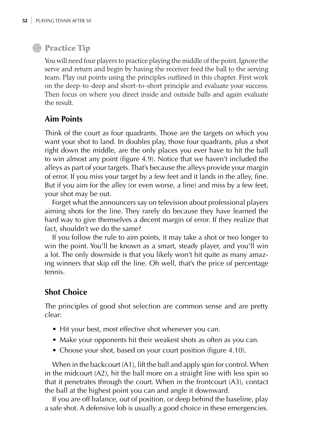## **Practice Tip**

You will need four players to practice playing the middle of the point. Ignore the serve and return and begin by having the receiver feed the ball to the serving team. Play out points using the principles outlined in this chapter. First work on the deep-to-deep and short-to-short principle and evaluate your success. Then focus on where you direct inside and outside balls and again evaluate the result.

#### **Aim Points**

Think of the court as four quadrants. Those are the targets on which you want your shot to land. In doubles play, those four quadrants, plus a shot right down the middle, are the only places you ever have to hit the ball to win almost any point (figure 4.9). Notice that we haven't included the alleys as part of your targets. That's because the alleys provide your margin of error. If you miss your target by a few feet and it lands in the alley, fine. But if you aim for the alley (or even worse, a line) and miss by a few feet, your shot may be out.

Forget what the announcers say on television about professional players aiming shots for the line. They rarely do because they have learned the hard way to give themselves a decent margin of error. If they realize that fact, shouldn't we do the same?

If you follow the rule to aim points, it may take a shot or two longer to win the point. You'll be known as a smart, steady player, and you'll win a lot. The only downside is that you likely won't hit quite as many amazing winners that skip off the line. Oh well, that's the price of percentage tennis.

#### **Shot Choice**

The principles of good shot selection are common sense and are pretty clear:

- Hit your best, most effective shot whenever you can.
- Make your opponents hit their weakest shots as often as you can.
- Choose your shot, based on your court position (figure 4.10).

When in the backcourt (A1), lift the ball and apply spin for control. When in the midcourt (A2), hit the ball more on a straight line with less spin so that it penetrates through the court. When in the frontcourt (A3), contact the ball at the highest point you can and angle it downward.

If you are off balance, out of position, or deep behind the baseline, play a safe shot. A defensive lob is usually a good choice in these emergencies.